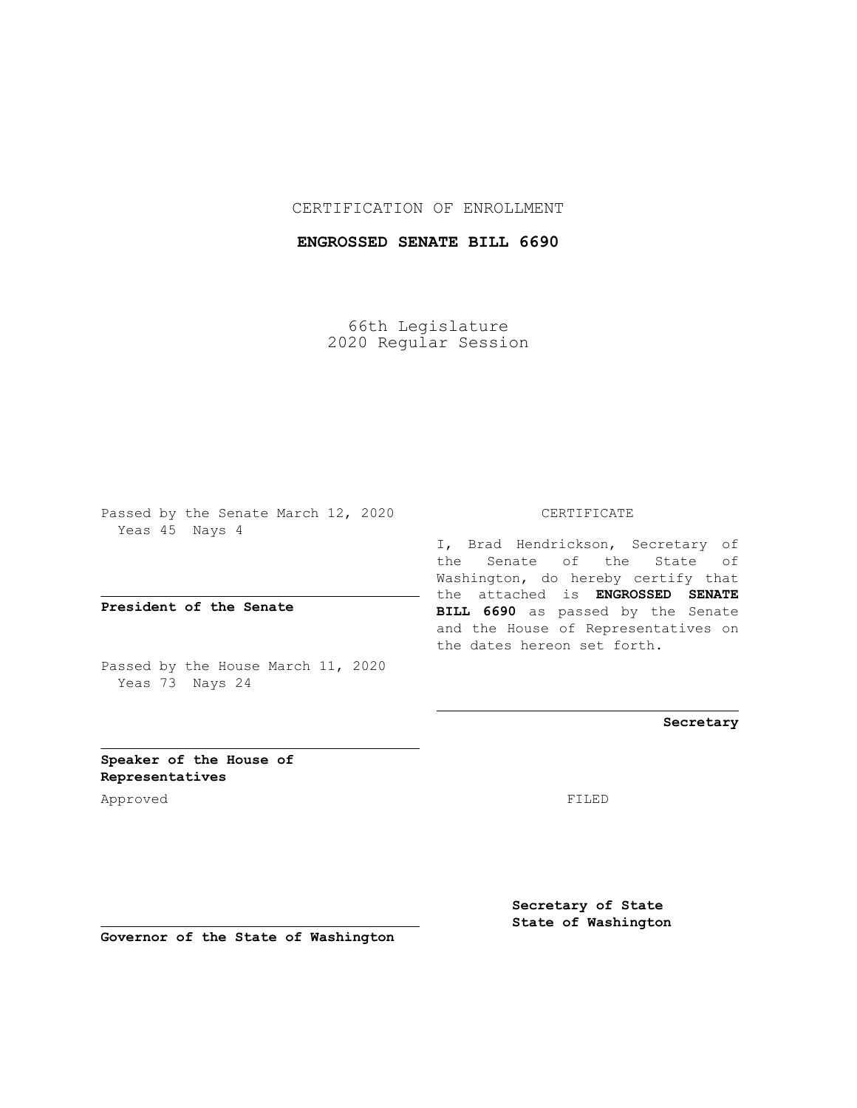## CERTIFICATION OF ENROLLMENT

## **ENGROSSED SENATE BILL 6690**

66th Legislature 2020 Regular Session

Passed by the Senate March 12, 2020 Yeas 45 Nays 4

**President of the Senate**

Passed by the House March 11, 2020 Yeas 73 Nays 24

## CERTIFICATE

I, Brad Hendrickson, Secretary of the Senate of the State of Washington, do hereby certify that the attached is **ENGROSSED SENATE BILL 6690** as passed by the Senate and the House of Representatives on the dates hereon set forth.

**Secretary**

**Speaker of the House of Representatives**

Approved FILED

**Secretary of State State of Washington**

**Governor of the State of Washington**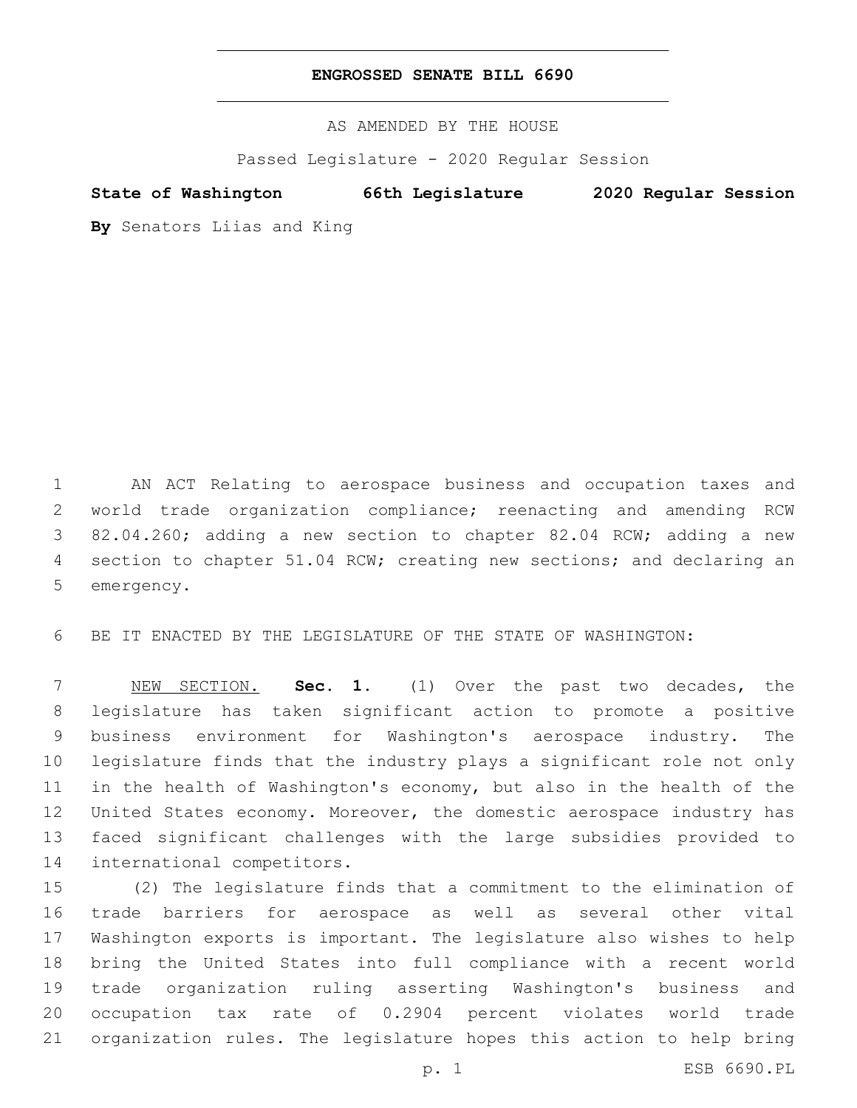## **ENGROSSED SENATE BILL 6690**

AS AMENDED BY THE HOUSE

Passed Legislature - 2020 Regular Session

**State of Washington 66th Legislature 2020 Regular Session**

**By** Senators Liias and King

 AN ACT Relating to aerospace business and occupation taxes and world trade organization compliance; reenacting and amending RCW 82.04.260; adding a new section to chapter 82.04 RCW; adding a new section to chapter 51.04 RCW; creating new sections; and declaring an 5 emergency.

BE IT ENACTED BY THE LEGISLATURE OF THE STATE OF WASHINGTON:

 NEW SECTION. **Sec. 1.** (1) Over the past two decades, the legislature has taken significant action to promote a positive business environment for Washington's aerospace industry. The legislature finds that the industry plays a significant role not only in the health of Washington's economy, but also in the health of the United States economy. Moreover, the domestic aerospace industry has faced significant challenges with the large subsidies provided to 14 international competitors.

 (2) The legislature finds that a commitment to the elimination of trade barriers for aerospace as well as several other vital Washington exports is important. The legislature also wishes to help bring the United States into full compliance with a recent world trade organization ruling asserting Washington's business and occupation tax rate of 0.2904 percent violates world trade organization rules. The legislature hopes this action to help bring

p. 1 ESB 6690.PL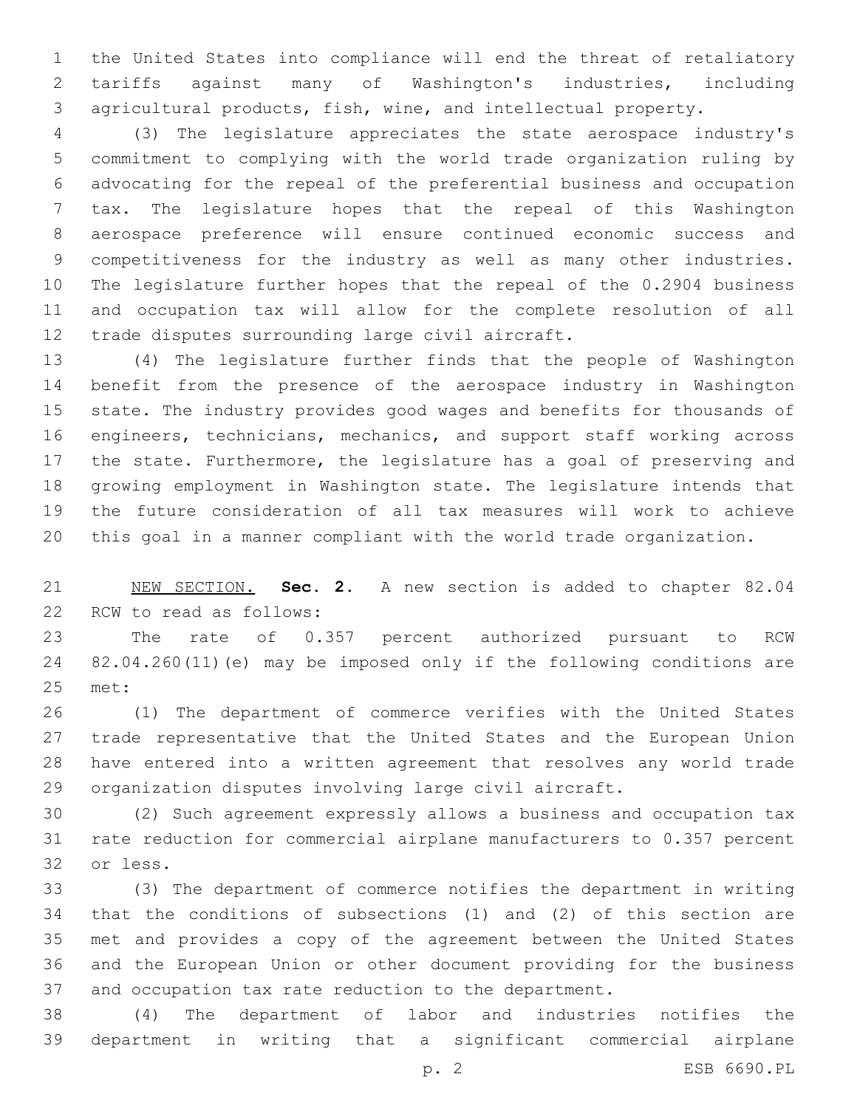the United States into compliance will end the threat of retaliatory tariffs against many of Washington's industries, including agricultural products, fish, wine, and intellectual property.

 (3) The legislature appreciates the state aerospace industry's commitment to complying with the world trade organization ruling by advocating for the repeal of the preferential business and occupation tax. The legislature hopes that the repeal of this Washington aerospace preference will ensure continued economic success and competitiveness for the industry as well as many other industries. The legislature further hopes that the repeal of the 0.2904 business and occupation tax will allow for the complete resolution of all 12 trade disputes surrounding large civil aircraft.

 (4) The legislature further finds that the people of Washington benefit from the presence of the aerospace industry in Washington state. The industry provides good wages and benefits for thousands of engineers, technicians, mechanics, and support staff working across the state. Furthermore, the legislature has a goal of preserving and growing employment in Washington state. The legislature intends that the future consideration of all tax measures will work to achieve this goal in a manner compliant with the world trade organization.

 NEW SECTION. **Sec. 2.** A new section is added to chapter 82.04 22 RCW to read as follows:

 The rate of 0.357 percent authorized pursuant to RCW 82.04.260(11)(e) may be imposed only if the following conditions are 25 met:

 (1) The department of commerce verifies with the United States trade representative that the United States and the European Union have entered into a written agreement that resolves any world trade organization disputes involving large civil aircraft.

 (2) Such agreement expressly allows a business and occupation tax rate reduction for commercial airplane manufacturers to 0.357 percent 32 or less.

 (3) The department of commerce notifies the department in writing that the conditions of subsections (1) and (2) of this section are met and provides a copy of the agreement between the United States and the European Union or other document providing for the business and occupation tax rate reduction to the department.

 (4) The department of labor and industries notifies the department in writing that a significant commercial airplane

p. 2 ESB 6690.PL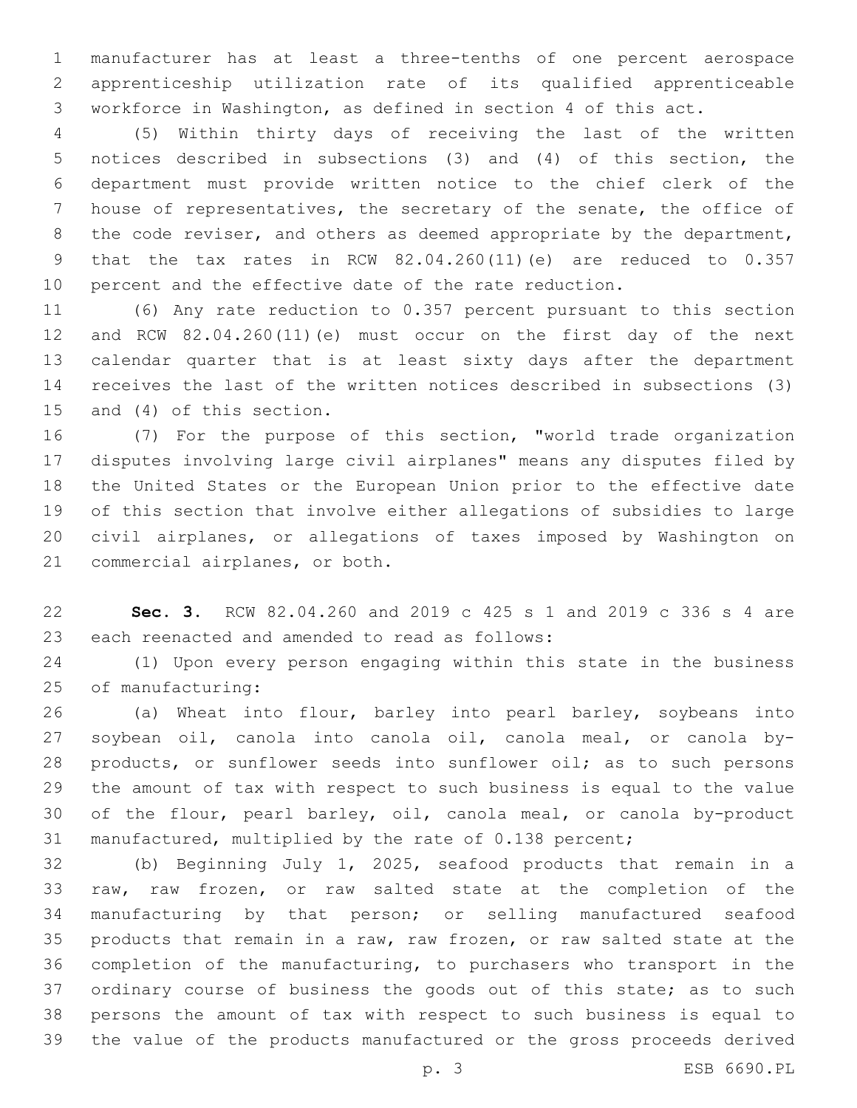manufacturer has at least a three-tenths of one percent aerospace apprenticeship utilization rate of its qualified apprenticeable workforce in Washington, as defined in section 4 of this act.

 (5) Within thirty days of receiving the last of the written notices described in subsections (3) and (4) of this section, the department must provide written notice to the chief clerk of the house of representatives, the secretary of the senate, the office of 8 the code reviser, and others as deemed appropriate by the department, that the tax rates in RCW 82.04.260(11)(e) are reduced to 0.357 percent and the effective date of the rate reduction.

 (6) Any rate reduction to 0.357 percent pursuant to this section and RCW 82.04.260(11)(e) must occur on the first day of the next calendar quarter that is at least sixty days after the department receives the last of the written notices described in subsections (3) 15 and (4) of this section.

 (7) For the purpose of this section, "world trade organization disputes involving large civil airplanes" means any disputes filed by the United States or the European Union prior to the effective date of this section that involve either allegations of subsidies to large civil airplanes, or allegations of taxes imposed by Washington on 21 commercial airplanes, or both.

 **Sec. 3.** RCW 82.04.260 and 2019 c 425 s 1 and 2019 c 336 s 4 are 23 each reenacted and amended to read as follows:

 (1) Upon every person engaging within this state in the business 25 of manufacturing:

 (a) Wheat into flour, barley into pearl barley, soybeans into soybean oil, canola into canola oil, canola meal, or canola by- products, or sunflower seeds into sunflower oil; as to such persons the amount of tax with respect to such business is equal to the value of the flour, pearl barley, oil, canola meal, or canola by-product manufactured, multiplied by the rate of 0.138 percent;

 (b) Beginning July 1, 2025, seafood products that remain in a raw, raw frozen, or raw salted state at the completion of the manufacturing by that person; or selling manufactured seafood products that remain in a raw, raw frozen, or raw salted state at the completion of the manufacturing, to purchasers who transport in the 37 ordinary course of business the goods out of this state; as to such persons the amount of tax with respect to such business is equal to the value of the products manufactured or the gross proceeds derived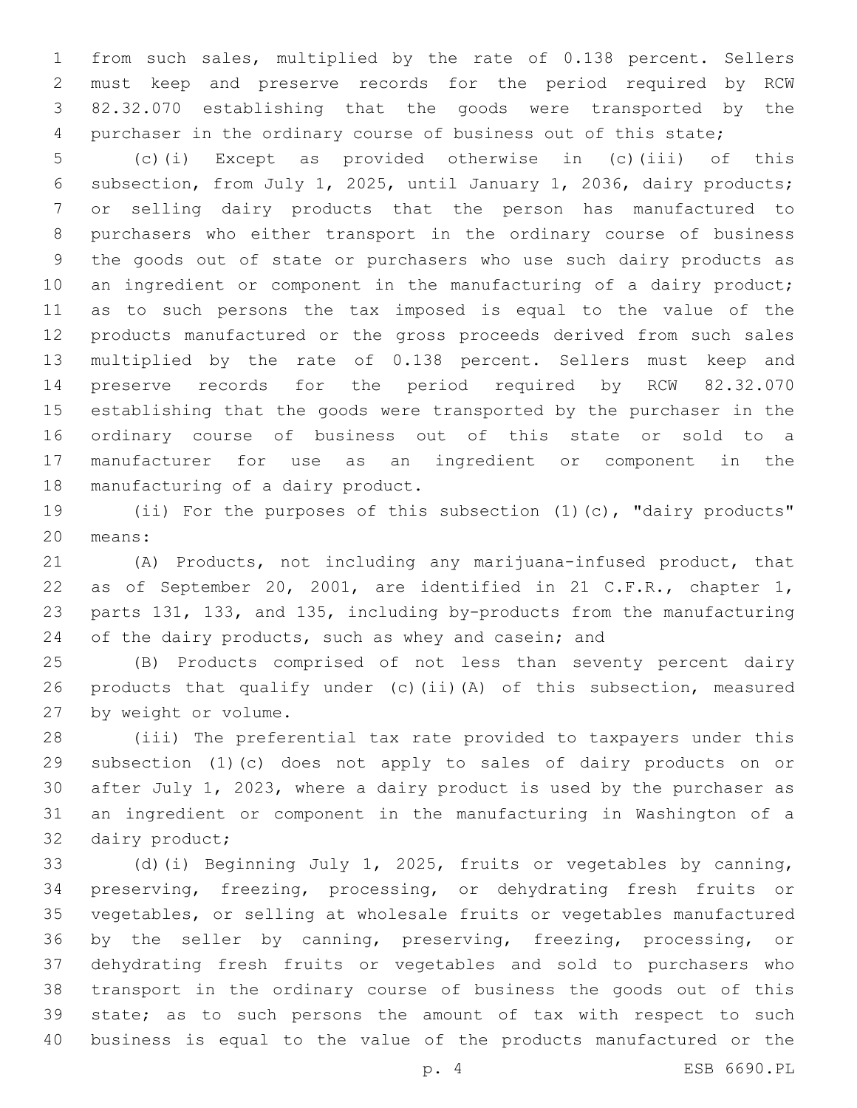from such sales, multiplied by the rate of 0.138 percent. Sellers must keep and preserve records for the period required by RCW 82.32.070 establishing that the goods were transported by the 4 purchaser in the ordinary course of business out of this state;

 (c)(i) Except as provided otherwise in (c)(iii) of this subsection, from July 1, 2025, until January 1, 2036, dairy products; or selling dairy products that the person has manufactured to purchasers who either transport in the ordinary course of business the goods out of state or purchasers who use such dairy products as 10 an ingredient or component in the manufacturing of a dairy product; as to such persons the tax imposed is equal to the value of the products manufactured or the gross proceeds derived from such sales multiplied by the rate of 0.138 percent. Sellers must keep and preserve records for the period required by RCW 82.32.070 establishing that the goods were transported by the purchaser in the ordinary course of business out of this state or sold to a manufacturer for use as an ingredient or component in the 18 manufacturing of a dairy product.

 (ii) For the purposes of this subsection (1)(c), "dairy products" 20 means:

 (A) Products, not including any marijuana-infused product, that as of September 20, 2001, are identified in 21 C.F.R., chapter 1, parts 131, 133, and 135, including by-products from the manufacturing 24 of the dairy products, such as whey and casein; and

 (B) Products comprised of not less than seventy percent dairy products that qualify under (c)(ii)(A) of this subsection, measured 27 by weight or volume.

 (iii) The preferential tax rate provided to taxpayers under this subsection (1)(c) does not apply to sales of dairy products on or after July 1, 2023, where a dairy product is used by the purchaser as an ingredient or component in the manufacturing in Washington of a 32 dairy product;

 (d)(i) Beginning July 1, 2025, fruits or vegetables by canning, preserving, freezing, processing, or dehydrating fresh fruits or vegetables, or selling at wholesale fruits or vegetables manufactured by the seller by canning, preserving, freezing, processing, or dehydrating fresh fruits or vegetables and sold to purchasers who transport in the ordinary course of business the goods out of this state; as to such persons the amount of tax with respect to such business is equal to the value of the products manufactured or the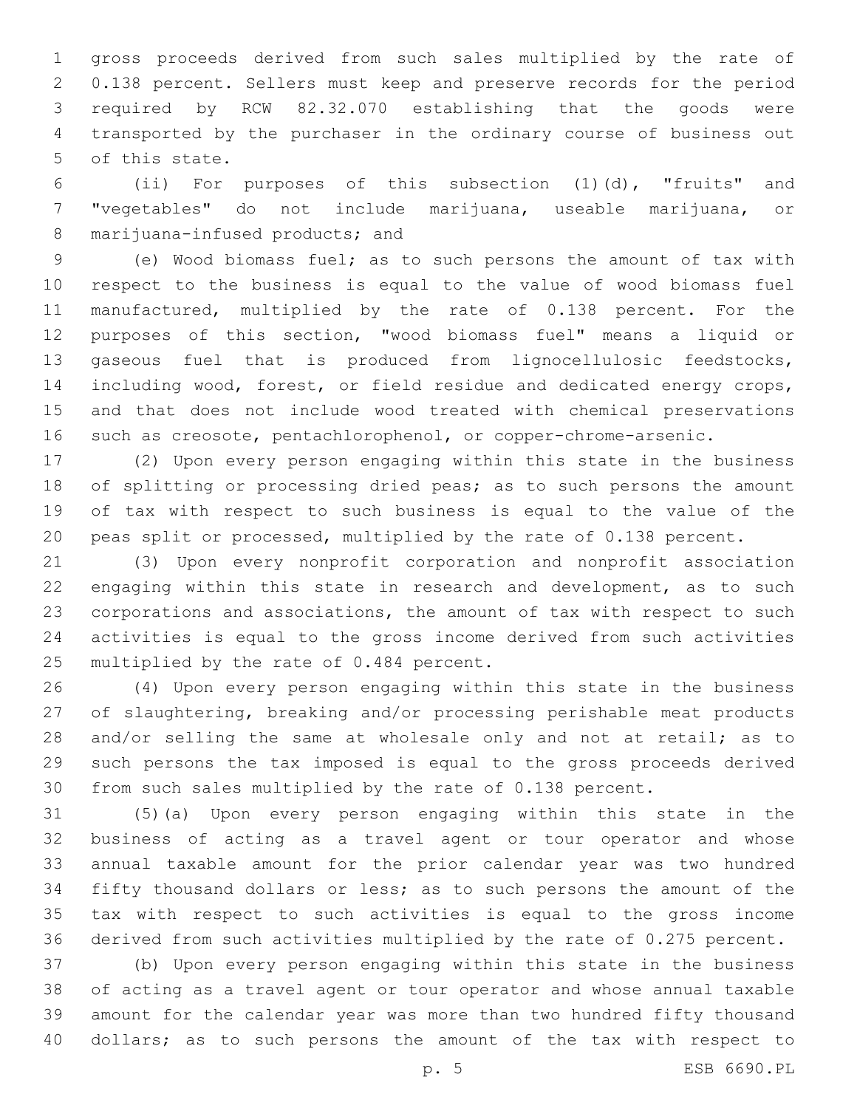gross proceeds derived from such sales multiplied by the rate of 0.138 percent. Sellers must keep and preserve records for the period required by RCW 82.32.070 establishing that the goods were transported by the purchaser in the ordinary course of business out 5 of this state.

 (ii) For purposes of this subsection (1)(d), "fruits" and "vegetables" do not include marijuana, useable marijuana, or 8 marijuana-infused products; and

 (e) Wood biomass fuel; as to such persons the amount of tax with respect to the business is equal to the value of wood biomass fuel manufactured, multiplied by the rate of 0.138 percent. For the purposes of this section, "wood biomass fuel" means a liquid or gaseous fuel that is produced from lignocellulosic feedstocks, including wood, forest, or field residue and dedicated energy crops, and that does not include wood treated with chemical preservations such as creosote, pentachlorophenol, or copper-chrome-arsenic.

 (2) Upon every person engaging within this state in the business of splitting or processing dried peas; as to such persons the amount of tax with respect to such business is equal to the value of the peas split or processed, multiplied by the rate of 0.138 percent.

 (3) Upon every nonprofit corporation and nonprofit association engaging within this state in research and development, as to such corporations and associations, the amount of tax with respect to such activities is equal to the gross income derived from such activities 25 multiplied by the rate of 0.484 percent.

 (4) Upon every person engaging within this state in the business of slaughtering, breaking and/or processing perishable meat products 28 and/or selling the same at wholesale only and not at retail; as to such persons the tax imposed is equal to the gross proceeds derived from such sales multiplied by the rate of 0.138 percent.

 (5)(a) Upon every person engaging within this state in the business of acting as a travel agent or tour operator and whose annual taxable amount for the prior calendar year was two hundred fifty thousand dollars or less; as to such persons the amount of the tax with respect to such activities is equal to the gross income derived from such activities multiplied by the rate of 0.275 percent.

 (b) Upon every person engaging within this state in the business of acting as a travel agent or tour operator and whose annual taxable amount for the calendar year was more than two hundred fifty thousand dollars; as to such persons the amount of the tax with respect to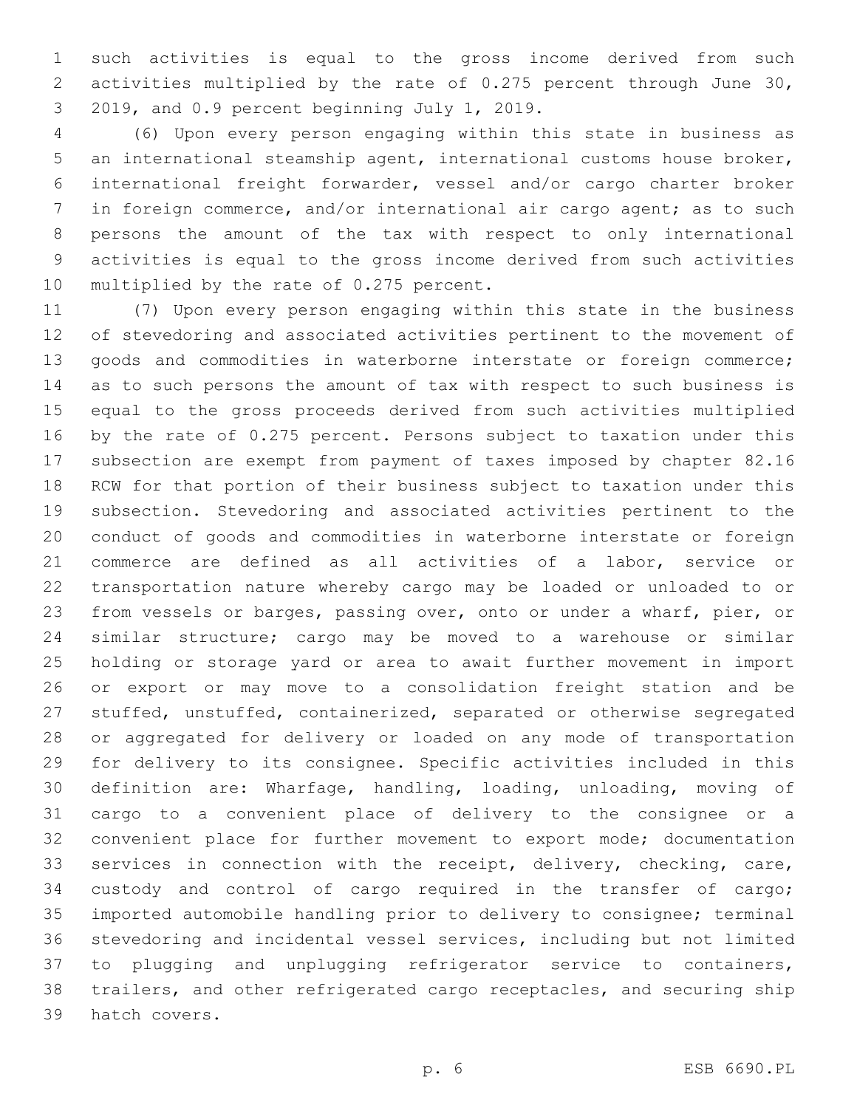such activities is equal to the gross income derived from such activities multiplied by the rate of 0.275 percent through June 30, 3 2019, and 0.9 percent beginning July 1, 2019.

 (6) Upon every person engaging within this state in business as an international steamship agent, international customs house broker, international freight forwarder, vessel and/or cargo charter broker in foreign commerce, and/or international air cargo agent; as to such persons the amount of the tax with respect to only international activities is equal to the gross income derived from such activities 10 multiplied by the rate of  $0.275$  percent.

 (7) Upon every person engaging within this state in the business of stevedoring and associated activities pertinent to the movement of goods and commodities in waterborne interstate or foreign commerce; as to such persons the amount of tax with respect to such business is equal to the gross proceeds derived from such activities multiplied by the rate of 0.275 percent. Persons subject to taxation under this subsection are exempt from payment of taxes imposed by chapter 82.16 RCW for that portion of their business subject to taxation under this subsection. Stevedoring and associated activities pertinent to the conduct of goods and commodities in waterborne interstate or foreign commerce are defined as all activities of a labor, service or transportation nature whereby cargo may be loaded or unloaded to or from vessels or barges, passing over, onto or under a wharf, pier, or similar structure; cargo may be moved to a warehouse or similar holding or storage yard or area to await further movement in import or export or may move to a consolidation freight station and be stuffed, unstuffed, containerized, separated or otherwise segregated or aggregated for delivery or loaded on any mode of transportation for delivery to its consignee. Specific activities included in this definition are: Wharfage, handling, loading, unloading, moving of cargo to a convenient place of delivery to the consignee or a convenient place for further movement to export mode; documentation services in connection with the receipt, delivery, checking, care, custody and control of cargo required in the transfer of cargo; imported automobile handling prior to delivery to consignee; terminal stevedoring and incidental vessel services, including but not limited to plugging and unplugging refrigerator service to containers, trailers, and other refrigerated cargo receptacles, and securing ship 39 hatch covers.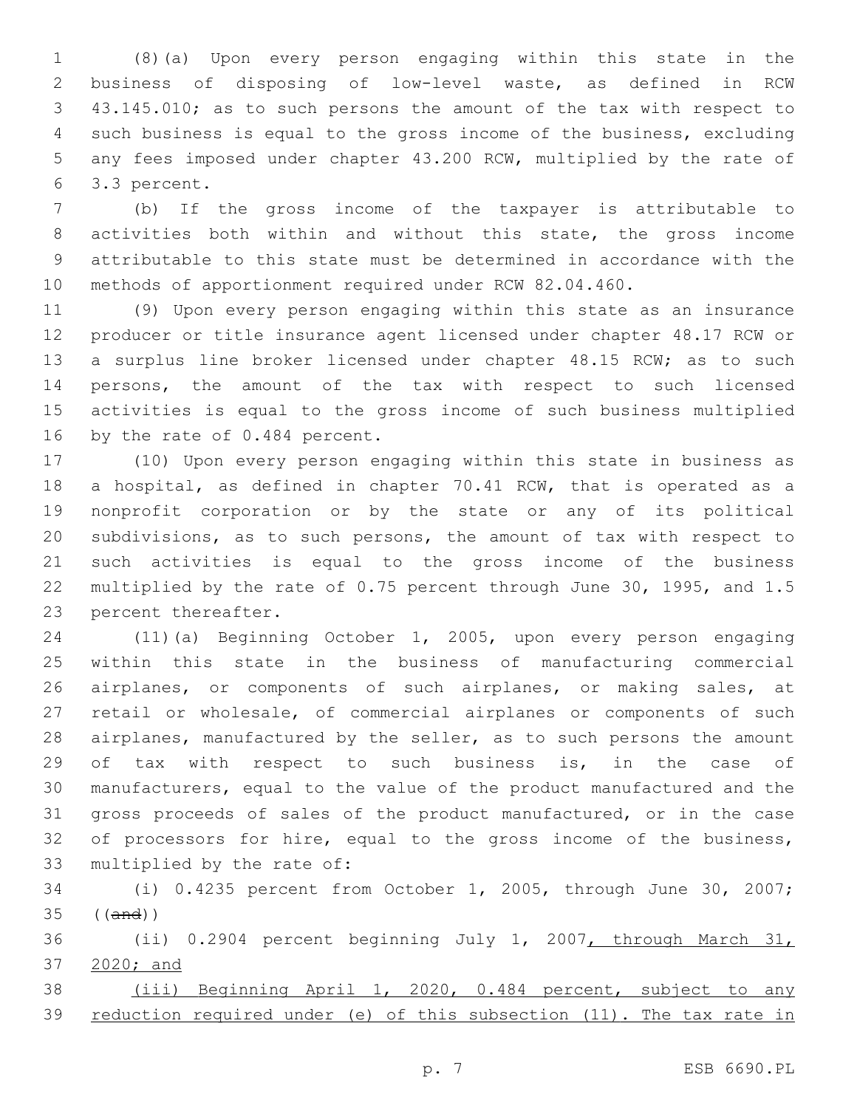(8)(a) Upon every person engaging within this state in the business of disposing of low-level waste, as defined in RCW 43.145.010; as to such persons the amount of the tax with respect to such business is equal to the gross income of the business, excluding any fees imposed under chapter 43.200 RCW, multiplied by the rate of 3.3 percent.

 (b) If the gross income of the taxpayer is attributable to activities both within and without this state, the gross income attributable to this state must be determined in accordance with the methods of apportionment required under RCW 82.04.460.

 (9) Upon every person engaging within this state as an insurance producer or title insurance agent licensed under chapter 48.17 RCW or a surplus line broker licensed under chapter 48.15 RCW; as to such persons, the amount of the tax with respect to such licensed activities is equal to the gross income of such business multiplied 16 by the rate of 0.484 percent.

 (10) Upon every person engaging within this state in business as a hospital, as defined in chapter 70.41 RCW, that is operated as a nonprofit corporation or by the state or any of its political subdivisions, as to such persons, the amount of tax with respect to such activities is equal to the gross income of the business multiplied by the rate of 0.75 percent through June 30, 1995, and 1.5 23 percent thereafter.

 (11)(a) Beginning October 1, 2005, upon every person engaging within this state in the business of manufacturing commercial airplanes, or components of such airplanes, or making sales, at retail or wholesale, of commercial airplanes or components of such airplanes, manufactured by the seller, as to such persons the amount of tax with respect to such business is, in the case of manufacturers, equal to the value of the product manufactured and the gross proceeds of sales of the product manufactured, or in the case 32 of processors for hire, equal to the gross income of the business, 33 multiplied by the rate of:

 (i) 0.4235 percent from October 1, 2005, through June 30, 2007; ((and))

 (ii) 0.2904 percent beginning July 1, 2007, through March 31, 2020; and

 (iii) Beginning April 1, 2020, 0.484 percent, subject to any reduction required under (e) of this subsection (11). The tax rate in

p. 7 ESB 6690.PL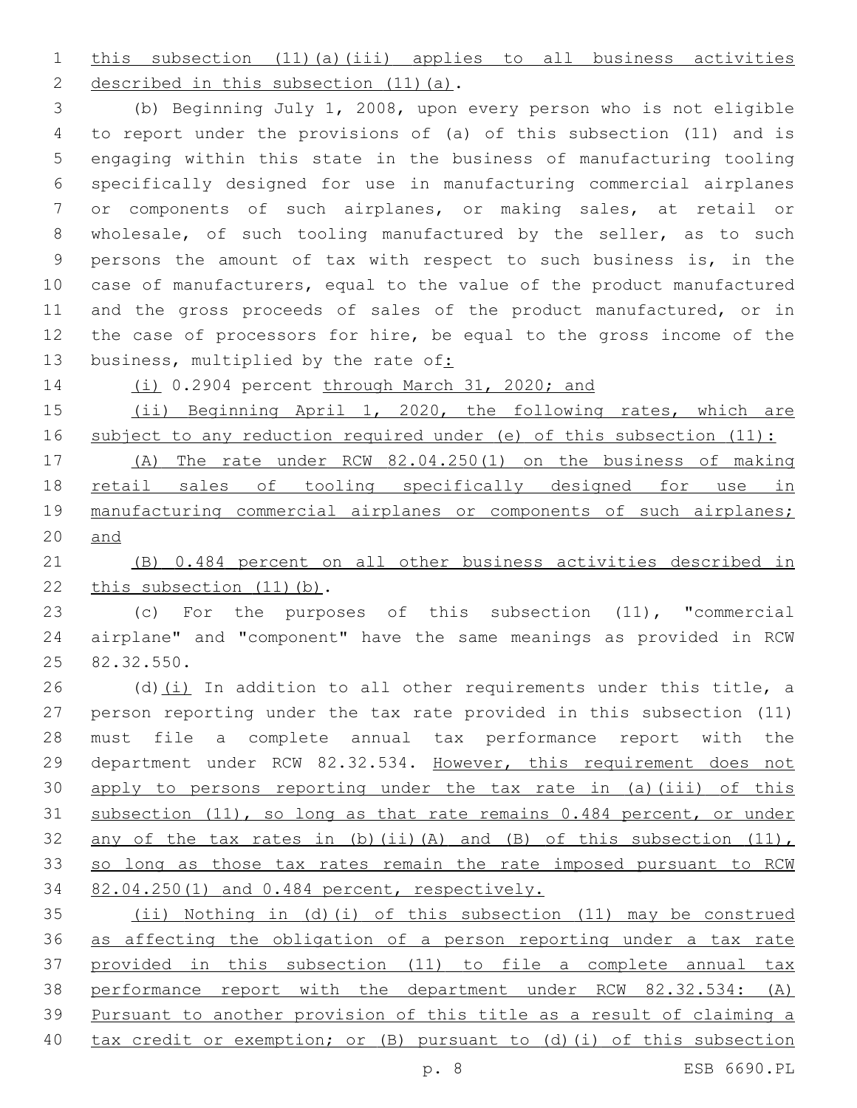this subsection (11)(a)(iii) applies to all business activities 2 described in this subsection (11)(a).

 (b) Beginning July 1, 2008, upon every person who is not eligible to report under the provisions of (a) of this subsection (11) and is engaging within this state in the business of manufacturing tooling specifically designed for use in manufacturing commercial airplanes or components of such airplanes, or making sales, at retail or wholesale, of such tooling manufactured by the seller, as to such persons the amount of tax with respect to such business is, in the case of manufacturers, equal to the value of the product manufactured and the gross proceeds of sales of the product manufactured, or in the case of processors for hire, be equal to the gross income of the 13 business, multiplied by the rate of:

(i) 0.2904 percent through March 31, 2020; and

 (ii) Beginning April 1, 2020, the following rates, which are 16 subject to any reduction required under (e) of this subsection (11):

 (A) The rate under RCW 82.04.250(1) on the business of making retail sales of tooling specifically designed for use in 19 manufacturing commercial airplanes or components of such airplanes; and

 (B) 0.484 percent on all other business activities described in 22 this subsection (11)(b).

 (c) For the purposes of this subsection (11), "commercial airplane" and "component" have the same meanings as provided in RCW 25 82.32.550.

26 (d) $(i)$  In addition to all other requirements under this title, a person reporting under the tax rate provided in this subsection (11) must file a complete annual tax performance report with the department under RCW 82.32.534. However, this requirement does not apply to persons reporting under the tax rate in (a)(iii) of this subsection (11), so long as that rate remains 0.484 percent, or under 32 any of the tax rates in (b)(ii)(A) and (B) of this subsection  $(11)$ , 33 so long as those tax rates remain the rate imposed pursuant to RCW 82.04.250(1) and 0.484 percent, respectively.

 (ii) Nothing in (d)(i) of this subsection (11) may be construed as affecting the obligation of a person reporting under a tax rate provided in this subsection (11) to file a complete annual tax performance report with the department under RCW 82.32.534: (A) Pursuant to another provision of this title as a result of claiming a tax credit or exemption; or (B) pursuant to (d)(i) of this subsection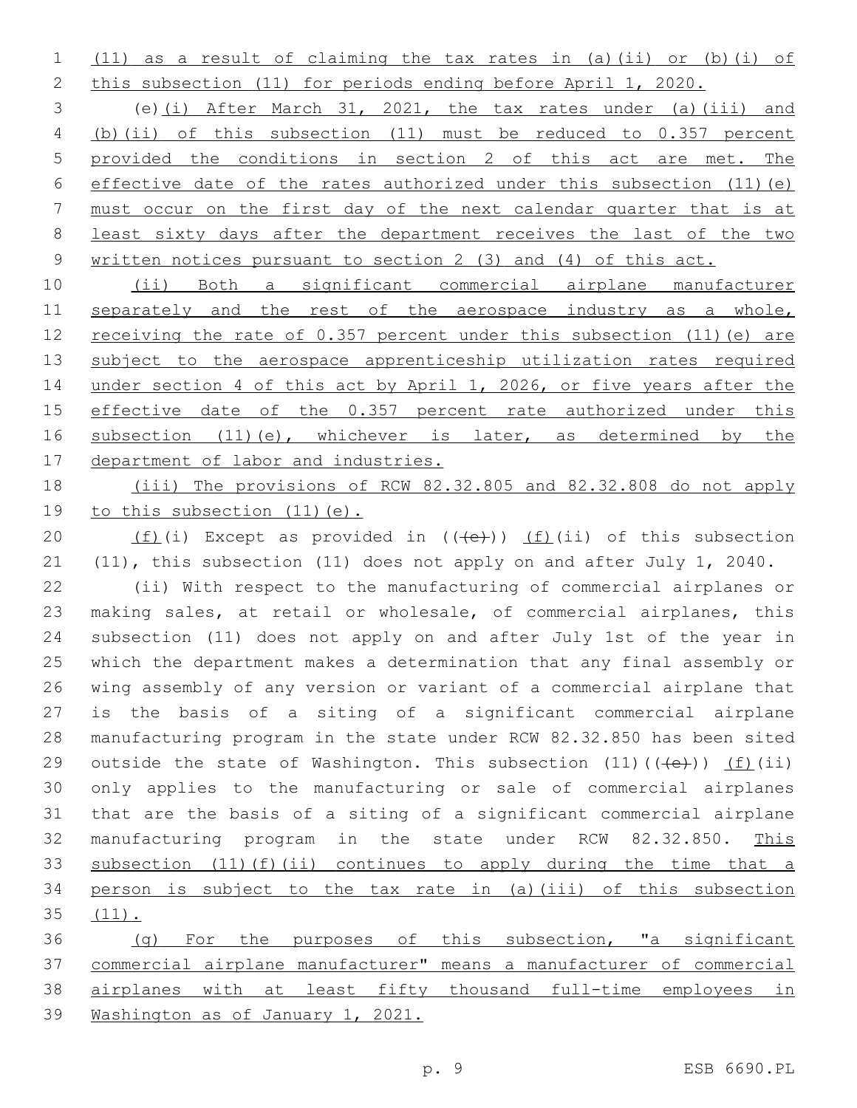(11) as a result of claiming the tax rates in (a)(ii) or (b)(i) of this subsection (11) for periods ending before April 1, 2020.

 (e)(i) After March 31, 2021, the tax rates under (a)(iii) and (b)(ii) of this subsection (11) must be reduced to 0.357 percent provided the conditions in section 2 of this act are met. The effective date of the rates authorized under this subsection (11)(e) must occur on the first day of the next calendar quarter that is at least sixty days after the department receives the last of the two written notices pursuant to section 2 (3) and (4) of this act.

 (ii) Both a significant commercial airplane manufacturer 11 separately and the rest of the aerospace industry as a whole, receiving the rate of 0.357 percent under this subsection (11)(e) are 13 subject to the aerospace apprenticeship utilization rates required under section 4 of this act by April 1, 2026, or five years after the effective date of the 0.357 percent rate authorized under this 16 subsection (11)(e), whichever is later, as determined by the department of labor and industries.

 (iii) The provisions of RCW 82.32.805 and 82.32.808 do not apply 19 to this subsection (11) (e).

20  $(f)(i)$  Except as provided in  $((e+))$   $(f)(ii)$  of this subsection (11), this subsection (11) does not apply on and after July 1, 2040.

 (ii) With respect to the manufacturing of commercial airplanes or making sales, at retail or wholesale, of commercial airplanes, this subsection (11) does not apply on and after July 1st of the year in which the department makes a determination that any final assembly or wing assembly of any version or variant of a commercial airplane that is the basis of a siting of a significant commercial airplane manufacturing program in the state under RCW 82.32.850 has been sited 29 outside the state of Washington. This subsection  $(11)$   $($   $($   $\leftrightarrow$   $)$   $)$   $($   $\pm$   $)$   $($   $\pm$   $)$   $)$  only applies to the manufacturing or sale of commercial airplanes that are the basis of a siting of a significant commercial airplane manufacturing program in the state under RCW 82.32.850. This subsection (11)(f)(ii) continues to apply during the time that a person is subject to the tax rate in (a)(iii) of this subsection (11).

 (g) For the purposes of this subsection, "a significant commercial airplane manufacturer" means a manufacturer of commercial airplanes with at least fifty thousand full-time employees in Washington as of January 1, 2021.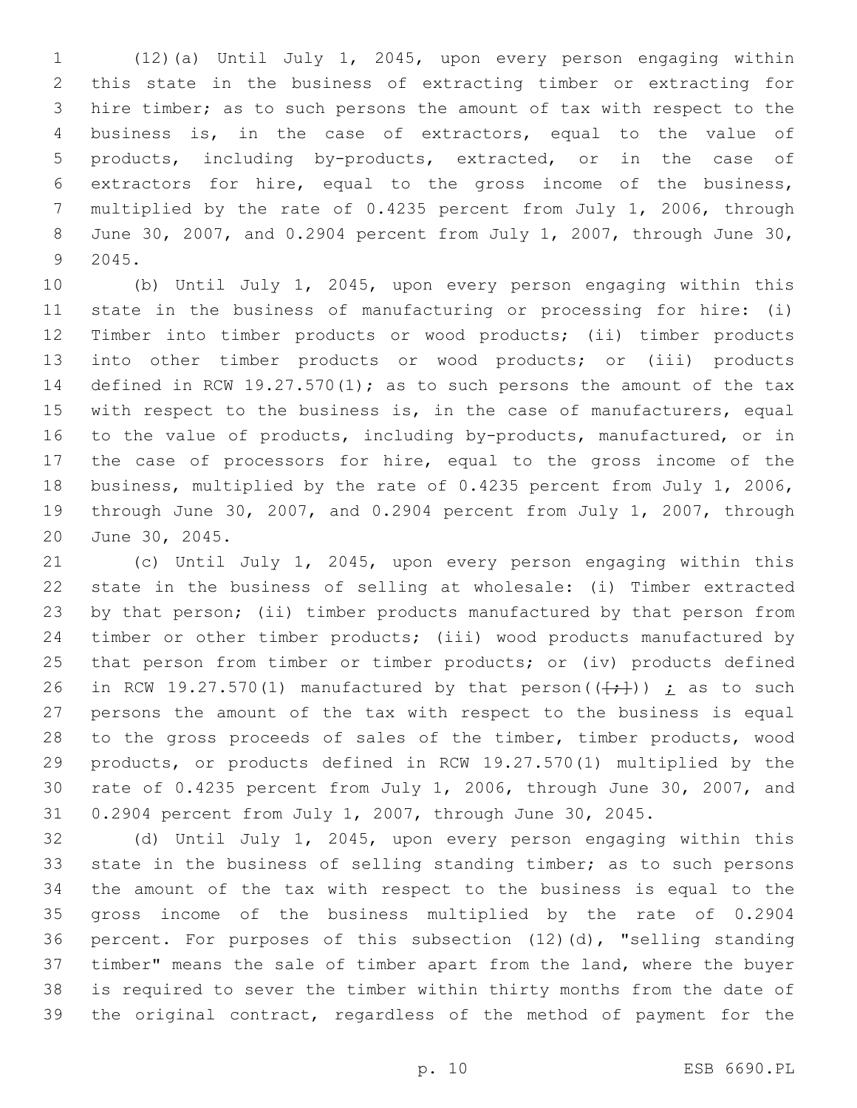(12)(a) Until July 1, 2045, upon every person engaging within this state in the business of extracting timber or extracting for hire timber; as to such persons the amount of tax with respect to the business is, in the case of extractors, equal to the value of products, including by-products, extracted, or in the case of extractors for hire, equal to the gross income of the business, multiplied by the rate of 0.4235 percent from July 1, 2006, through June 30, 2007, and 0.2904 percent from July 1, 2007, through June 30, 2045.9

 (b) Until July 1, 2045, upon every person engaging within this state in the business of manufacturing or processing for hire: (i) Timber into timber products or wood products; (ii) timber products into other timber products or wood products; or (iii) products defined in RCW 19.27.570(1); as to such persons the amount of the tax with respect to the business is, in the case of manufacturers, equal to the value of products, including by-products, manufactured, or in the case of processors for hire, equal to the gross income of the business, multiplied by the rate of 0.4235 percent from July 1, 2006, through June 30, 2007, and 0.2904 percent from July 1, 2007, through 20 June 30, 2045.

 (c) Until July 1, 2045, upon every person engaging within this state in the business of selling at wholesale: (i) Timber extracted by that person; (ii) timber products manufactured by that person from timber or other timber products; (iii) wood products manufactured by that person from timber or timber products; or (iv) products defined 26 in RCW 19.27.570(1) manufactured by that person( $(\frac{+}{+})$ )  $\frac{1}{L}$  as to such persons the amount of the tax with respect to the business is equal to the gross proceeds of sales of the timber, timber products, wood products, or products defined in RCW 19.27.570(1) multiplied by the rate of 0.4235 percent from July 1, 2006, through June 30, 2007, and 0.2904 percent from July 1, 2007, through June 30, 2045.

 (d) Until July 1, 2045, upon every person engaging within this state in the business of selling standing timber; as to such persons the amount of the tax with respect to the business is equal to the gross income of the business multiplied by the rate of 0.2904 percent. For purposes of this subsection (12)(d), "selling standing timber" means the sale of timber apart from the land, where the buyer is required to sever the timber within thirty months from the date of the original contract, regardless of the method of payment for the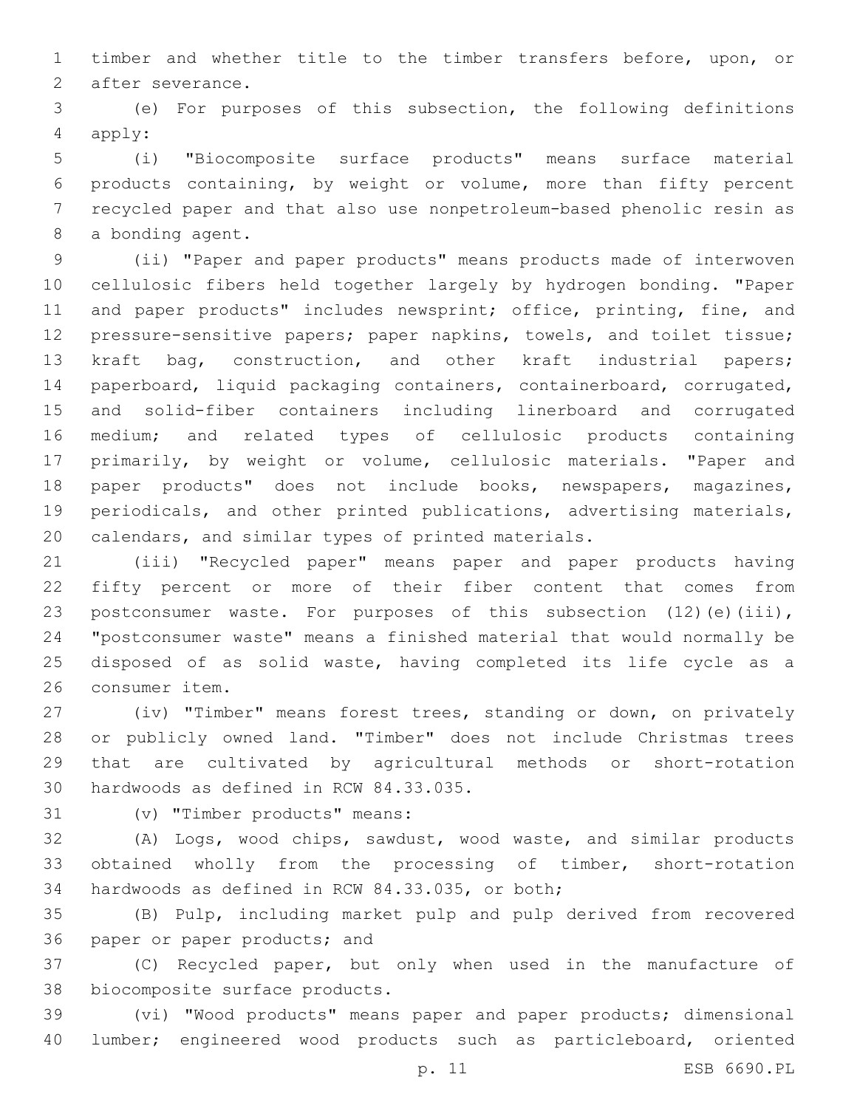timber and whether title to the timber transfers before, upon, or 2 after severance.

 (e) For purposes of this subsection, the following definitions 4 apply:

 (i) "Biocomposite surface products" means surface material products containing, by weight or volume, more than fifty percent recycled paper and that also use nonpetroleum-based phenolic resin as 8 a bonding agent.

 (ii) "Paper and paper products" means products made of interwoven cellulosic fibers held together largely by hydrogen bonding. "Paper 11 and paper products" includes newsprint; office, printing, fine, and pressure-sensitive papers; paper napkins, towels, and toilet tissue; 13 kraft bag, construction, and other kraft industrial papers; paperboard, liquid packaging containers, containerboard, corrugated, and solid-fiber containers including linerboard and corrugated medium; and related types of cellulosic products containing primarily, by weight or volume, cellulosic materials. "Paper and paper products" does not include books, newspapers, magazines, periodicals, and other printed publications, advertising materials, calendars, and similar types of printed materials.

 (iii) "Recycled paper" means paper and paper products having fifty percent or more of their fiber content that comes from 23 postconsumer waste. For purposes of this subsection (12)(e)(iii), "postconsumer waste" means a finished material that would normally be disposed of as solid waste, having completed its life cycle as a 26 consumer item.

 (iv) "Timber" means forest trees, standing or down, on privately or publicly owned land. "Timber" does not include Christmas trees that are cultivated by agricultural methods or short-rotation 30 hardwoods as defined in RCW 84.33.035.

31 (v) "Timber products" means:

 (A) Logs, wood chips, sawdust, wood waste, and similar products obtained wholly from the processing of timber, short-rotation 34 hardwoods as defined in RCW 84.33.035, or both;

 (B) Pulp, including market pulp and pulp derived from recovered 36 paper or paper products; and

 (C) Recycled paper, but only when used in the manufacture of 38 biocomposite surface products.

 (vi) "Wood products" means paper and paper products; dimensional lumber; engineered wood products such as particleboard, oriented

p. 11 ESB 6690.PL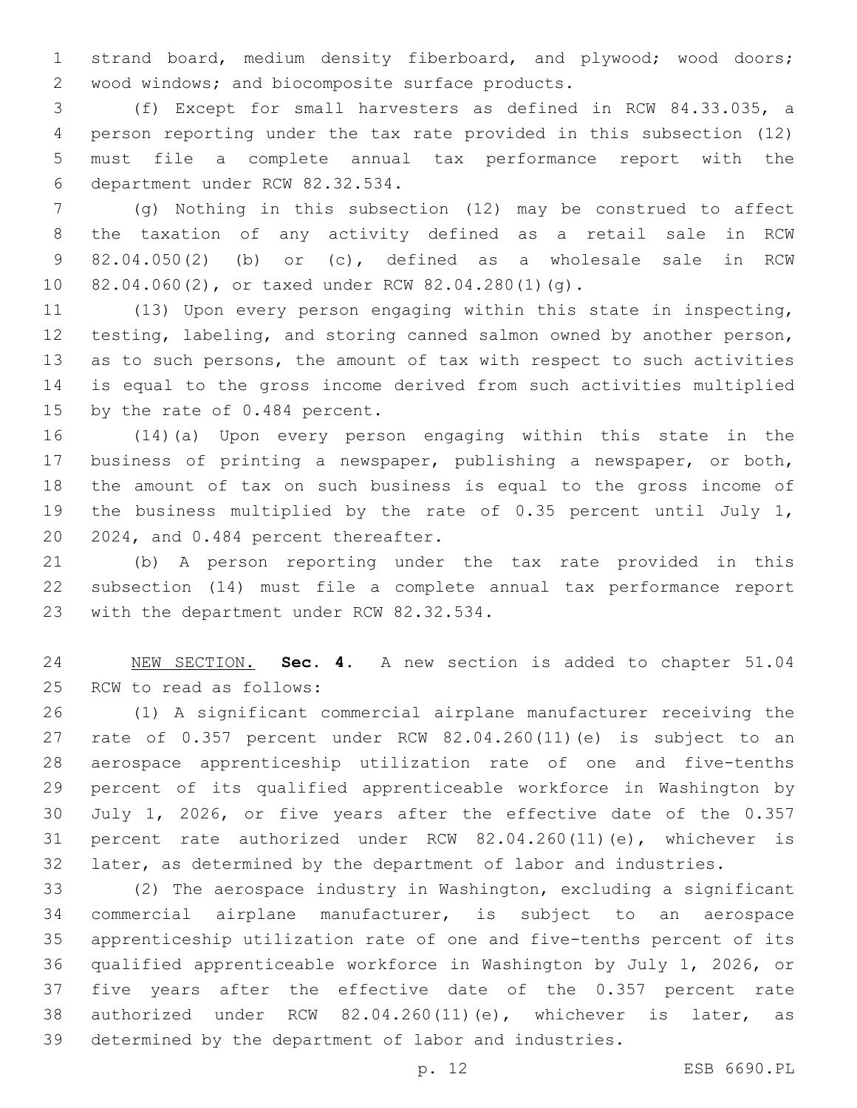strand board, medium density fiberboard, and plywood; wood doors; 2 wood windows; and biocomposite surface products.

 (f) Except for small harvesters as defined in RCW 84.33.035, a person reporting under the tax rate provided in this subsection (12) must file a complete annual tax performance report with the 6 department under RCW 82.32.534.

 (g) Nothing in this subsection (12) may be construed to affect the taxation of any activity defined as a retail sale in RCW 82.04.050(2) (b) or (c), defined as a wholesale sale in RCW 10 82.04.060(2), or taxed under RCW 82.04.280(1)(g).

 (13) Upon every person engaging within this state in inspecting, testing, labeling, and storing canned salmon owned by another person, as to such persons, the amount of tax with respect to such activities is equal to the gross income derived from such activities multiplied 15 by the rate of 0.484 percent.

 (14)(a) Upon every person engaging within this state in the business of printing a newspaper, publishing a newspaper, or both, the amount of tax on such business is equal to the gross income of the business multiplied by the rate of 0.35 percent until July 1, 20 2024, and 0.484 percent thereafter.

 (b) A person reporting under the tax rate provided in this subsection (14) must file a complete annual tax performance report 23 with the department under RCW 82.32.534.

 NEW SECTION. **Sec. 4.** A new section is added to chapter 51.04 25 RCW to read as follows:

 (1) A significant commercial airplane manufacturer receiving the rate of 0.357 percent under RCW 82.04.260(11)(e) is subject to an aerospace apprenticeship utilization rate of one and five-tenths percent of its qualified apprenticeable workforce in Washington by July 1, 2026, or five years after the effective date of the 0.357 percent rate authorized under RCW 82.04.260(11)(e), whichever is later, as determined by the department of labor and industries.

 (2) The aerospace industry in Washington, excluding a significant commercial airplane manufacturer, is subject to an aerospace apprenticeship utilization rate of one and five-tenths percent of its qualified apprenticeable workforce in Washington by July 1, 2026, or five years after the effective date of the 0.357 percent rate authorized under RCW 82.04.260(11)(e), whichever is later, as determined by the department of labor and industries.

p. 12 ESB 6690.PL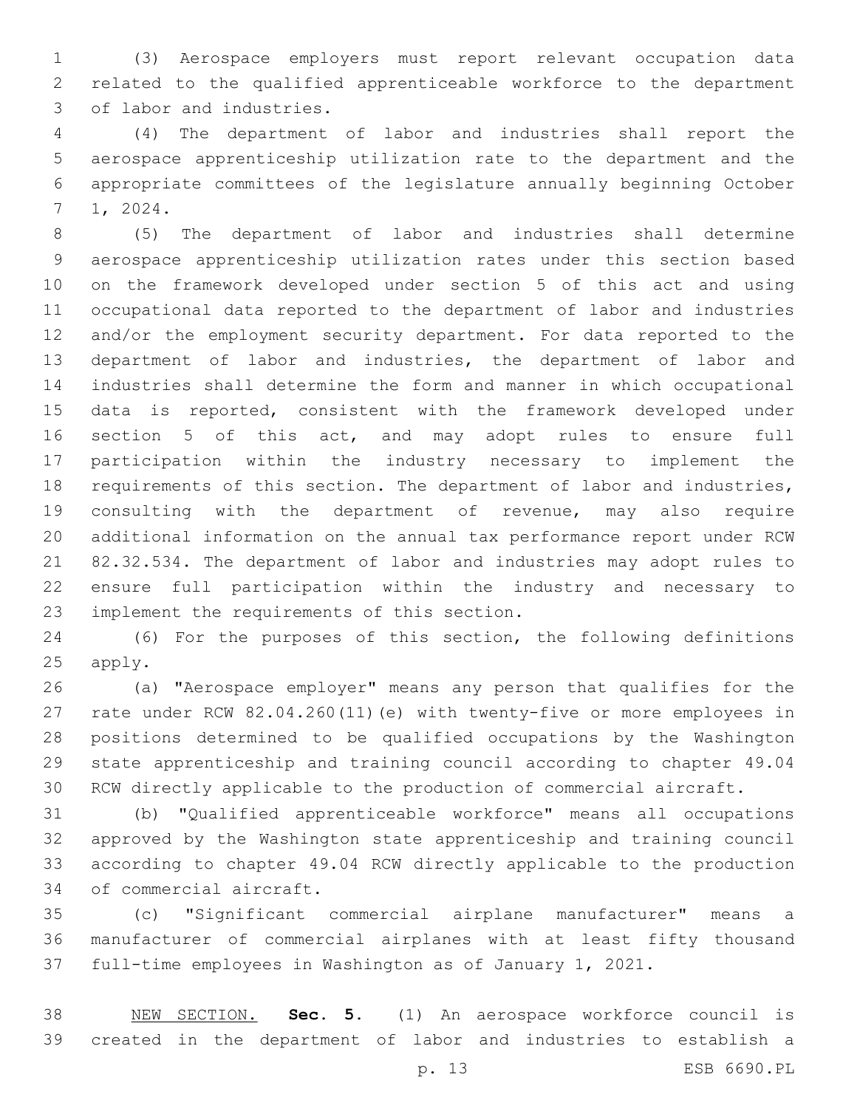(3) Aerospace employers must report relevant occupation data related to the qualified apprenticeable workforce to the department 3 of labor and industries.

 (4) The department of labor and industries shall report the aerospace apprenticeship utilization rate to the department and the appropriate committees of the legislature annually beginning October 1, 2024.7

 (5) The department of labor and industries shall determine aerospace apprenticeship utilization rates under this section based on the framework developed under section 5 of this act and using occupational data reported to the department of labor and industries and/or the employment security department. For data reported to the department of labor and industries, the department of labor and industries shall determine the form and manner in which occupational data is reported, consistent with the framework developed under section 5 of this act, and may adopt rules to ensure full participation within the industry necessary to implement the requirements of this section. The department of labor and industries, consulting with the department of revenue, may also require additional information on the annual tax performance report under RCW 82.32.534. The department of labor and industries may adopt rules to ensure full participation within the industry and necessary to 23 implement the requirements of this section.

 (6) For the purposes of this section, the following definitions 25 apply.

 (a) "Aerospace employer" means any person that qualifies for the rate under RCW 82.04.260(11)(e) with twenty-five or more employees in positions determined to be qualified occupations by the Washington state apprenticeship and training council according to chapter 49.04 RCW directly applicable to the production of commercial aircraft.

 (b) "Qualified apprenticeable workforce" means all occupations approved by the Washington state apprenticeship and training council according to chapter 49.04 RCW directly applicable to the production 34 of commercial aircraft.

 (c) "Significant commercial airplane manufacturer" means a manufacturer of commercial airplanes with at least fifty thousand full-time employees in Washington as of January 1, 2021.

 NEW SECTION. **Sec. 5.** (1) An aerospace workforce council is created in the department of labor and industries to establish a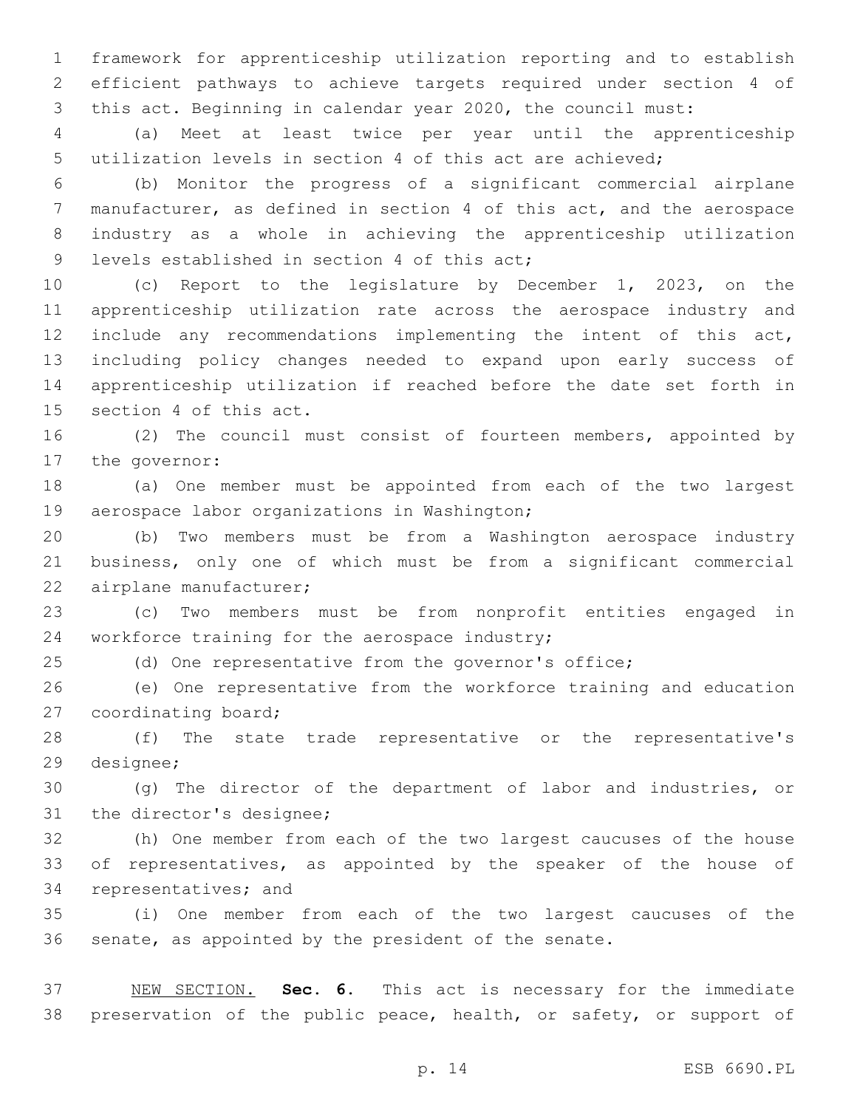framework for apprenticeship utilization reporting and to establish efficient pathways to achieve targets required under section 4 of this act. Beginning in calendar year 2020, the council must:

 (a) Meet at least twice per year until the apprenticeship utilization levels in section 4 of this act are achieved;

 (b) Monitor the progress of a significant commercial airplane manufacturer, as defined in section 4 of this act, and the aerospace industry as a whole in achieving the apprenticeship utilization 9 levels established in section 4 of this act;

 (c) Report to the legislature by December 1, 2023, on the apprenticeship utilization rate across the aerospace industry and include any recommendations implementing the intent of this act, including policy changes needed to expand upon early success of apprenticeship utilization if reached before the date set forth in 15 section 4 of this act.

 (2) The council must consist of fourteen members, appointed by 17 the governor:

 (a) One member must be appointed from each of the two largest 19 aerospace labor organizations in Washington;

 (b) Two members must be from a Washington aerospace industry business, only one of which must be from a significant commercial 22 airplane manufacturer;

 (c) Two members must be from nonprofit entities engaged in 24 workforce training for the aerospace industry;

(d) One representative from the governor's office;

 (e) One representative from the workforce training and education 27 coordinating board;

 (f) The state trade representative or the representative's 29 designee;

 (g) The director of the department of labor and industries, or 31 the director's designee;

 (h) One member from each of the two largest caucuses of the house of representatives, as appointed by the speaker of the house of 34 representatives; and

 (i) One member from each of the two largest caucuses of the senate, as appointed by the president of the senate.

 NEW SECTION. **Sec. 6.** This act is necessary for the immediate 38 preservation of the public peace, health, or safety, or support of

p. 14 ESB 6690.PL